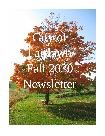# Fairlawn Fall 2020 Newsletter

**City to f**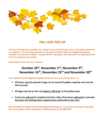

### **FALL LEAF PICK UP**

**The City of Fairlawn has provided, at no charge for the past thirty-four years, a leaf pickup service for our residents. The City will provide this service again in 2020 by offering a bagged leaf program available to all Fairlawn residents. Pickups will be on Mondays, with any leaves not collected by 3:00 P.M. to be picked up on Tuesday.**

**Pickup dates for this year are as follows:** 

## **October 26th, November 2nd, November 9th , November 16th, November 23rd and November 30th**

**The conditions for the bagged leaf pickup will be the same as in previous years, i.e.:**

- **All leaves must be placed in bags not to exceed 35-gallon capacity and must be tied securely.**
- **All bags must be on the curb before 7:00 A.M. on the pickup days.**
- **Trash cans will not be emptied and items other than leaves will not be removed. Any item not meeting these requirements will be left at the curb.**

**We encourage all residents to take advantage of this program. If you have any questions regarding this service, please call the Department of Public Service at 330-668-9550.**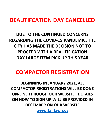# **BEAUTIFCATION DAY CANCELLED**

# **DUE TO THE CONTINUED CONCERNS REGARDING THE COVID-19 PANDEMIC, THE CITY HAS MADE THE DECISION NOT TO PROCEED WITH A BEAUTIFICATION DAY LARGE ITEM PICK UP THIS YEAR**

# **COMPACTOR REGISTRATION**

**BEGINNING IN JANUARY 2021, ALL COMPACTOR REGISTRATIONS WILL BE DONE ON-LINE THROUGH OUR WEBSITE. DETAILS ON HOW TO SIGN UP WILL BE PROVIDED IN DECEMBER ON OUR WEBSITE**

**[www.fairlawn.us](http://www.fairlawn.us/)**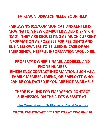# **FAIRLAWN DISPATCH NEEDS YOUR HELP**

**FAIRLAWN'S 911/COMMUNICATIONS CENTER IS MOVING TO A NEW COMPUTER AIDED DISPATCH (CAD). THEY ARE REQUESTING AS MUCH CURRENT INFORMATION AS POSSIBLE FOR RESIDENTS AND BUSINESS OWNERS TO BE USED IN CASE OF AN EMERGENCY. HELPFUL INFORMATION WOULD BE:**

**PROPERTY OWNER'S NAME, ADDRESS, AND PHONE NUMBER EMERGENCY CONTACT INFORMATION SUCH AS A FAMILY MEMBER, FRIEND, OR EMPLOYEE WHO CAN BE CONTACTED IF YOU ARE NOT AVAILABLE.**

**THERE IS A LINK FOR EMERGENCY CONTACT SUBMISSION ON THE CITY'S WEBSITE AT:**

**<https://www.fairlawn.us/445/Emergency-Contact-Submission>**

**OR YOU CAN CONTACT BETH NICHOLS AT 330-670-4320**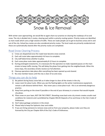

With winter soon approaching, we would like to again share our practice on clearing the roadways of ice and snow. The city is divided into 5 routes, clearing each within a priority routing system. Priority routes are identified as main roads which carry a high volume of traffic. These are roads people use to get to business areas and in and out of the city. School bus routes are also considered priority routes. The local roads are primarily residential and these are systematically cleared after the priority routes are completed.

#### Road Snow Clearing Process

- 1) Crews are dispatched once the roads have become snow covered.
- 2) Each salt route takes approximately 4-6 hours to complete.
- 3) City staff determines whether to plow.
- 4) Each snow plow route takes approximately 8-12 hours to complete.
- 5) During prolonged snowstorms, it is necessary for the operators to make repeated passes on the main streets to keep traffic moving. This will delay the plows from getting into the neighborhoods. When the snow stops, the secondary streets receive our full attention.
- 6) Cleanup operations take place after everything has been opened up and cleared.
- 7) No crew member leaves until the city is clear of ice and snow.

#### Things you can do to help

- 1) Be patient during heavy snow falls as it takes longer to clear all the streets in the city.
- 2) Leave room for plow trucks. When you see the flashing lights on the winter maintenance equipment, remain a safe distance behind them. Also never pass a snow plow truck - this is an extremely dangerous practice.
- 3) Keep from parking on the street if possible or the end of your driveway in a manner that would impede city plows.
- 4) Place snow on your lawn, NOT ON THE STREET. Shoveling snow back onto city streets creates unsafe road conditions for motorist and is prohibited by Chapter 854.05 Deposits of Ice and Snow in the City's Code of Ordinances.
- 5) Don't place garbage containers in the street.
- 6) Please help to keep fire hydrants clear and visible.
- 7) If you are hiring someone to remove snow and ice from your property, please make sure they are licensed by the City per Chapter 854 of the City's Code of Ordinances.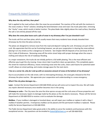#### Frequently Asked Questions

#### **Why does the city salt first, then plow?**

Salt is applied to the road surfaces after the snow has accumulated. The reaction of the salt with the moisture in the snow creates a "brine" solution, breaking the bond between snow and road. City trucks plow later, removing the "slushy" snow, which results in better traction. The plow blade rides slightly above the road surface, therefore the salt is not entirely plowed off the road.

#### **Why does the snow plow leave such a pile of snow in my driveway after I've just shoveled it out?**

The trucks salt first and then plow, which usually means that many residents have already shoveled their driveways by the time the plow comes by.

The plows are designed to remove snow from the road and deposit it along the curb. Driveways are part of the curb. We appreciate that this can be frustrating however, we ask your cooperation in clearing the snow without placing it on city streets as this is dangerous to motorist. See Chapter 854.05 Deposits of Ice and Snow of the City's Code of Ordinances. Removing snow off the entire street helps with proper drainage when the snow is melting and reduces the risk of roadways flooding.

In a major snowstorm, the trucks do not initially perform a full width plowing. This is the most efficient and effective way to get the city moving. Crews return later to perform clean-up operations. This completely opens the street for maximum efficiency, moves remaining snow onto the curbs, clears catch basins for potential water runoff, allows on-street parking, and creates storage space for the next storm.

#### **I live on a corner lot, why do I end up with an excessive amount of snow at the bottom of my driveway?**

Due to accumulation on the side street, with no intercepting driveways, the snow gets released at the first driveway the plow reaches. We appreciate your cooperation and understanding in a snow emergency.

#### **What if the city plow damages my….**

**Lawn -** Contact the Service Department (330-668-9550) and we will come out to inspect the area. We will make any repairs deemed necessary once weather becomes nice in the spring.

**Driveway or curbs –** The City owns the area the drive aprons occupy and the curb areas of house properties and will make the necessary repairs to damage made by the plows as the city deems necessary. Please call the Service Department at 330-668-9550 to receive a visit to evaluate the damage.

**Mailbox -** If your mailbox is damaged or knocked down, we will repair your mailbox or replace it with a Step 2 mailbox if weather permits. A temporary mailbox can be placed until the permanent mailbox is replaced. Please notify the Service Department at 330-668-9550.

The Public Service Department takes great pride in the ability to serve the residents and businesses with this exceptional service. Any questions can be emailed to [StatenE@fairlawn.us](mailto:StatenE@fairlawn.us) or call 330-668-9550.